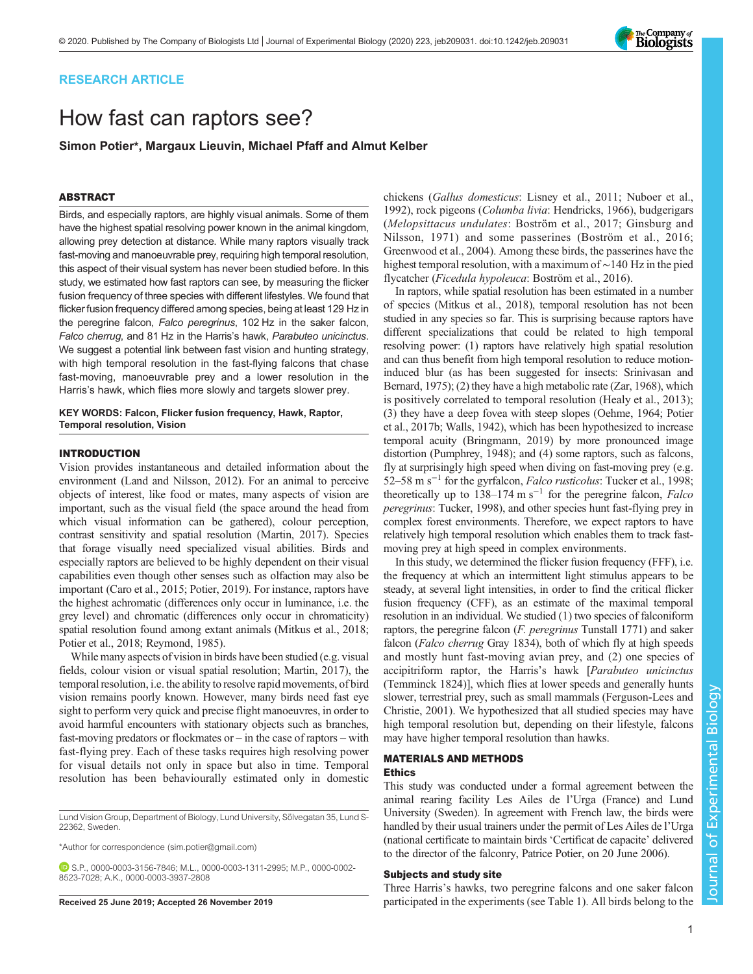# RESEARCH ARTICLE

# How fast can raptors see?

Simon Potier\*, Margaux Lieuvin, Michael Pfaff and Almut Kelber

# ABSTRACT

Birds, and especially raptors, are highly visual animals. Some of them have the highest spatial resolving power known in the animal kingdom, allowing prey detection at distance. While many raptors visually track fast-moving and manoeuvrable prey, requiring high temporal resolution, this aspect of their visual system has never been studied before. In this study, we estimated how fast raptors can see, by measuring the flicker fusion frequency of three species with different lifestyles. We found that flicker fusion frequency differed among species, being at least 129 Hz in the peregrine falcon, Falco peregrinus, 102 Hz in the saker falcon, Falco cherrug, and 81 Hz in the Harris's hawk, Parabuteo unicinctus. We suggest a potential link between fast vision and hunting strategy, with high temporal resolution in the fast-flying falcons that chase fast-moving, manoeuvrable prey and a lower resolution in the Harris's hawk, which flies more slowly and targets slower prey.

KEY WORDS: Falcon, Flicker fusion frequency, Hawk, Raptor, Temporal resolution, Vision

## INTRODUCTION

Vision provides instantaneous and detailed information about the environment [\(Land and Nilsson, 2012](#page-5-0)). For an animal to perceive objects of interest, like food or mates, many aspects of vision are important, such as the visual field (the space around the head from which visual information can be gathered), colour perception, contrast sensitivity and spatial resolution [\(Martin, 2017](#page-6-0)). Species that forage visually need specialized visual abilities. Birds and especially raptors are believed to be highly dependent on their visual capabilities even though other senses such as olfaction may also be important [\(Caro et al., 2015;](#page-5-0) [Potier, 2019](#page-6-0)). For instance, raptors have the highest achromatic (differences only occur in luminance, i.e. the grey level) and chromatic (differences only occur in chromaticity) spatial resolution found among extant animals [\(Mitkus et al., 2018](#page-6-0); [Potier et al., 2018; Reymond, 1985](#page-6-0)).

While many aspects of vision in birds have been studied (e.g. visual fields, colour vision or visual spatial resolution; [Martin, 2017](#page-6-0)), the temporal resolution, i.e. the ability to resolve rapid movements, of bird vision remains poorly known. However, many birds need fast eye sight to perform very quick and precise flight manoeuvres, in order to avoid harmful encounters with stationary objects such as branches, fast-moving predators or flockmates or – in the case of raptors – with fast-flying prey. Each of these tasks requires high resolving power for visual details not only in space but also in time. Temporal resolution has been behaviourally estimated only in domestic

Lund Vision Group, Department of Biology, Lund University, Sölvegatan 35, Lund S-22362, Sweden.

\*Author for correspondence [\(sim.potier@gmail.com\)](mailto:sim.potier@gmail.com)

S.P., [0000-0003-3156-7846;](http://orcid.org/0000-0003-3156-7846) M.L., [0000-0003-1311-2995;](http://orcid.org/0000-0003-1311-2995) M.P., [0000-0002-](http://orcid.org/0000-0002-8523-7028) [8523-7028](http://orcid.org/0000-0002-8523-7028); A.K., [0000-0003-3937-2808](http://orcid.org/0000-0003-3937-2808)

chickens (Gallus domesticus: [Lisney et al., 2011](#page-6-0); [Nuboer et al.,](#page-6-0) [1992\)](#page-6-0), rock pigeons (Columba livia: [Hendricks, 1966](#page-5-0)), budgerigars (Melopsittacus undulates: [Boström et al., 2017](#page-5-0); [Ginsburg and](#page-5-0) [Nilsson, 1971](#page-5-0)) and some passerines ([Boström et al., 2016](#page-5-0); [Greenwood et al., 2004](#page-5-0)). Among these birds, the passerines have the highest temporal resolution, with a maximum of ∼140 Hz in the pied flycatcher (Ficedula hypoleuca: [Boström et al., 2016](#page-5-0)).

In raptors, while spatial resolution has been estimated in a number of species [\(Mitkus et al., 2018](#page-6-0)), temporal resolution has not been studied in any species so far. This is surprising because raptors have different specializations that could be related to high temporal resolving power: (1) raptors have relatively high spatial resolution and can thus benefit from high temporal resolution to reduce motioninduced blur (as has been suggested for insects: [Srinivasan and](#page-6-0) [Bernard, 1975\)](#page-6-0); (2) they have a high metabolic rate [\(Zar, 1968](#page-6-0)), which is positively correlated to temporal resolution ([Healy et al., 2013](#page-5-0)); (3) they have a deep fovea with steep slopes ([Oehme, 1964; Potier](#page-6-0) [et al., 2017b; Walls, 1942\)](#page-6-0), which has been hypothesized to increase temporal acuity ([Bringmann, 2019](#page-5-0)) by more pronounced image distortion ([Pumphrey, 1948](#page-6-0)); and (4) some raptors, such as falcons, fly at surprisingly high speed when diving on fast-moving prey (e.g. 52–58 m s<sup>-1</sup> for the gyrfalcon, *Falco rusticolus*: [Tucker et al., 1998](#page-6-0); theoretically up to  $138-174$  m s<sup>-1</sup> for the peregrine falcon, *Falco* peregrinus: [Tucker, 1998\)](#page-6-0), and other species hunt fast-flying prey in complex forest environments. Therefore, we expect raptors to have relatively high temporal resolution which enables them to track fastmoving prey at high speed in complex environments.

In this study, we determined the flicker fusion frequency (FFF), i.e. the frequency at which an intermittent light stimulus appears to be steady, at several light intensities, in order to find the critical flicker fusion frequency (CFF), as an estimate of the maximal temporal resolution in an individual. We studied (1) two species of falconiform raptors, the peregrine falcon (F. peregrinus Tunstall 1771) and saker falcon (Falco cherrug Gray 1834), both of which fly at high speeds and mostly hunt fast-moving avian prey, and (2) one species of accipitriform raptor, the Harris's hawk [Parabuteo unicinctus (Temminck 1824)], which flies at lower speeds and generally hunts slower, terrestrial prey, such as small mammals ([Ferguson-Lees and](#page-5-0) [Christie, 2001](#page-5-0)). We hypothesized that all studied species may have high temporal resolution but, depending on their lifestyle, falcons may have higher temporal resolution than hawks.

# MATERIALS AND METHODS Ethics

This study was conducted under a formal agreement between the animal rearing facility Les Ailes de l'Urga (France) and Lund University (Sweden). In agreement with French law, the birds were handled by their usual trainers under the permit of Les Ailes de l'Urga (national certificate to maintain birds 'Certificat de capacite' delivered to the director of the falconry, Patrice Potier, on 20 June 2006).

# Subjects and study site

Three Harris's hawks, two peregrine falcons and one saker falcon Received 25 June 2019; Accepted 26 November 2019 participated in the experiments (see [Table 1](#page-1-0)). All birds belong to the

Journal of Experimental Biology

Journal of

Experimental Biology

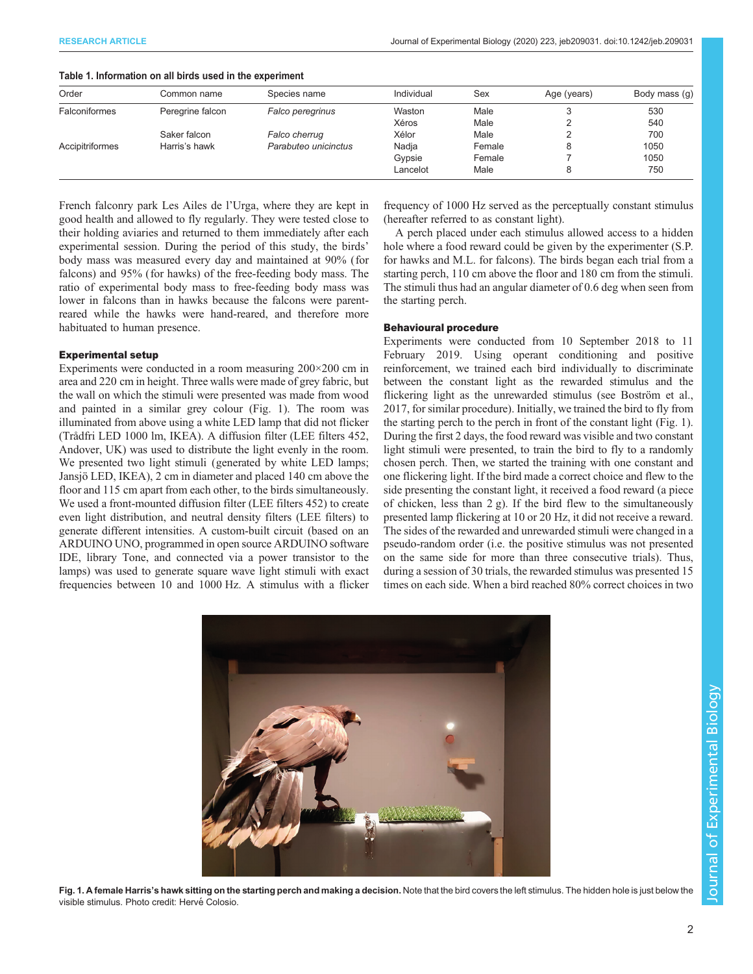<span id="page-1-0"></span>

| Table 1. Information on all birds used in the experiment |  |  |
|----------------------------------------------------------|--|--|
|                                                          |  |  |

| Order           | Common name      | Species name         | Individual | Sex    | Age (years) | Body mass (g) |
|-----------------|------------------|----------------------|------------|--------|-------------|---------------|
| Falconiformes   | Peregrine falcon | Falco peregrinus     | Waston     | Male   |             | 530           |
|                 |                  |                      | Xéros      | Male   |             | 540           |
|                 | Saker falcon     | Falco cherrug        | Xélor      | Male   |             | 700           |
| Accipitriformes | Harris's hawk    | Parabuteo unicinctus | Nadja      | Female |             | 1050          |
|                 |                  |                      | Gypsie     | Female |             | 1050          |
|                 |                  |                      | Lancelot   | Male   |             | 750           |

French falconry park Les Ailes de l'Urga, where they are kept in good health and allowed to fly regularly. They were tested close to their holding aviaries and returned to them immediately after each experimental session. During the period of this study, the birds' body mass was measured every day and maintained at 90% (for falcons) and 95% (for hawks) of the free-feeding body mass. The ratio of experimental body mass to free-feeding body mass was lower in falcons than in hawks because the falcons were parentreared while the hawks were hand-reared, and therefore more habituated to human presence.

## Experimental setup

Experiments were conducted in a room measuring 200×200 cm in area and 220 cm in height. Three walls were made of grey fabric, but the wall on which the stimuli were presented was made from wood and painted in a similar grey colour (Fig. 1). The room was illuminated from above using a white LED lamp that did not flicker (Trådfri LED 1000 lm, IKEA). A diffusion filter (LEE filters 452, Andover, UK) was used to distribute the light evenly in the room. We presented two light stimuli (generated by white LED lamps; Jansjö LED, IKEA), 2 cm in diameter and placed 140 cm above the floor and 115 cm apart from each other, to the birds simultaneously. We used a front-mounted diffusion filter (LEE filters 452) to create even light distribution, and neutral density filters (LEE filters) to generate different intensities. A custom-built circuit (based on an ARDUINO UNO, programmed in open source ARDUINO software IDE, library Tone, and connected via a power transistor to the lamps) was used to generate square wave light stimuli with exact frequencies between 10 and 1000 Hz. A stimulus with a flicker

frequency of 1000 Hz served as the perceptually constant stimulus (hereafter referred to as constant light).

A perch placed under each stimulus allowed access to a hidden hole where a food reward could be given by the experimenter (S.P. for hawks and M.L. for falcons). The birds began each trial from a starting perch, 110 cm above the floor and 180 cm from the stimuli. The stimuli thus had an angular diameter of 0.6 deg when seen from the starting perch.

## Behavioural procedure

Experiments were conducted from 10 September 2018 to 11 February 2019. Using operant conditioning and positive reinforcement, we trained each bird individually to discriminate between the constant light as the rewarded stimulus and the flickering light as the unrewarded stimulus (see [Boström et al.,](#page-5-0) [2017,](#page-5-0) for similar procedure). Initially, we trained the bird to fly from the starting perch to the perch in front of the constant light (Fig. 1). During the first 2 days, the food reward was visible and two constant light stimuli were presented, to train the bird to fly to a randomly chosen perch. Then, we started the training with one constant and one flickering light. If the bird made a correct choice and flew to the side presenting the constant light, it received a food reward (a piece of chicken, less than 2 g). If the bird flew to the simultaneously presented lamp flickering at 10 or 20 Hz, it did not receive a reward. The sides of the rewarded and unrewarded stimuli were changed in a pseudo-random order (i.e. the positive stimulus was not presented on the same side for more than three consecutive trials). Thus, during a session of 30 trials, the rewarded stimulus was presented 15 times on each side. When a bird reached 80% correct choices in two



Fig. 1. A female Harris's hawk sitting on the starting perch and making a decision. Note that the bird covers the left stimulus. The hidden hole is just below the visible stimulus. Photo credit: Hervé Colosio.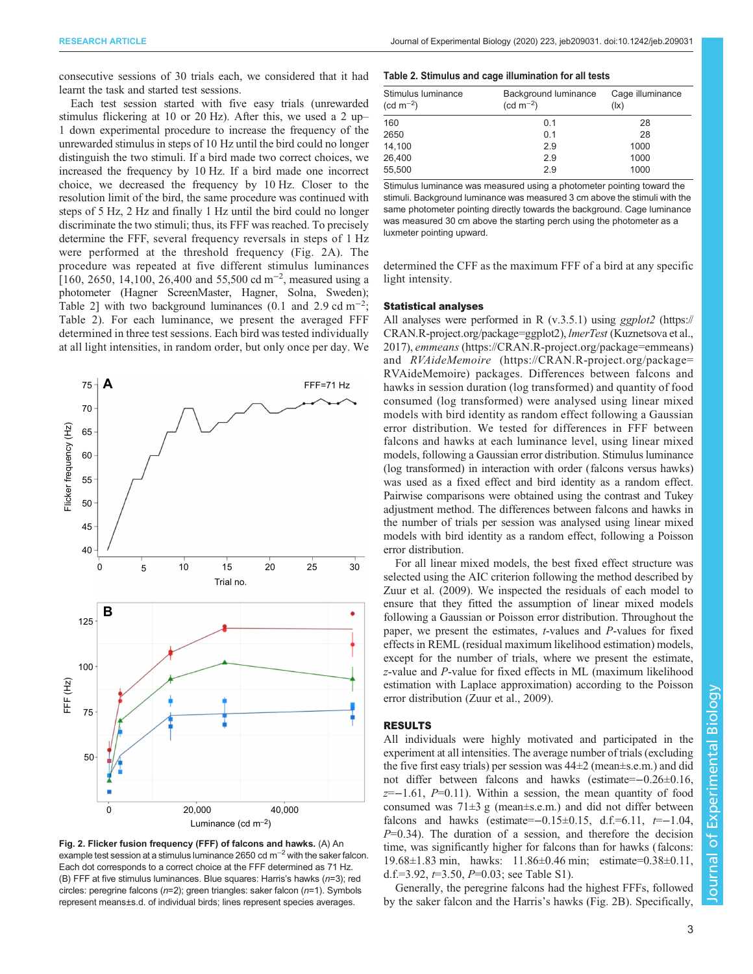<span id="page-2-0"></span>consecutive sessions of 30 trials each, we considered that it had learnt the task and started test sessions.

Each test session started with five easy trials (unrewarded stimulus flickering at 10 or 20 Hz). After this, we used a 2 up– 1 down experimental procedure to increase the frequency of the unrewarded stimulus in steps of 10 Hz until the bird could no longer distinguish the two stimuli. If a bird made two correct choices, we increased the frequency by 10 Hz. If a bird made one incorrect choice, we decreased the frequency by 10 Hz. Closer to the resolution limit of the bird, the same procedure was continued with steps of 5 Hz, 2 Hz and finally 1 Hz until the bird could no longer discriminate the two stimuli; thus, its FFF was reached. To precisely determine the FFF, several frequency reversals in steps of 1 Hz were performed at the threshold frequency (Fig. 2A). The procedure was repeated at five different stimulus luminances [160, 2650, 14,100, 26,400 and 55,500 cd m<sup>-2</sup>, measured using a photometer (Hagner ScreenMaster, Hagner, Solna, Sweden); Table 2] with two background luminances (0.1 and 2.9 cd m<sup>-2</sup>; Table 2). For each luminance, we present the averaged FFF determined in three test sessions. Each bird was tested individually at all light intensities, in random order, but only once per day. We



Fig. 2. Flicker fusion frequency (FFF) of falcons and hawks. (A) An example test session at a stimulus luminance 2650 cd m−<sup>2</sup> with the saker falcon. Each dot corresponds to a correct choice at the FFF determined as 71 Hz. (B) FFF at five stimulus luminances. Blue squares: Harris's hawks  $(n=3)$ ; red circles: peregrine falcons ( $n=2$ ); green triangles: saker falcon ( $n=1$ ). Symbols represent means±s.d. of individual birds; lines represent species averages.

# Table 2. Stimulus and cage illumination for all tests

| Stimulus luminance<br>$(cd m^{-2})$ | Background luminance<br>$(cd m^{-2})$ | Cage illuminance<br>$( x\rangle)$ |
|-------------------------------------|---------------------------------------|-----------------------------------|
| 160                                 | 0.1                                   | 28                                |
| 2650                                | 0.1                                   | 28                                |
| 14,100                              | 2.9                                   | 1000                              |
| 26,400                              | 2.9                                   | 1000                              |
| 55,500                              | 2.9                                   | 1000                              |

Stimulus luminance was measured using a photometer pointing toward the stimuli. Background luminance was measured 3 cm above the stimuli with the same photometer pointing directly towards the background. Cage luminance was measured 30 cm above the starting perch using the photometer as a luxmeter pointing upward.

determined the CFF as the maximum FFF of a bird at any specific light intensity.

# Statistical analyses

All analyses were performed in R (v.3.5.1) using *ggplot2* ([https://](https://CRAN.R-project.org/package=ggplot2) [CRAN.R-project.org/package=ggplot2](https://CRAN.R-project.org/package=ggplot2)), lmerTest [\(Kuznetsova et al.,](#page-5-0) [2017\)](#page-5-0), emmeans ([https://CRAN.R-project.org/package=emmeans\)](https://CRAN.R-project.org/package=emmeans) and RVAideMemoire ([https://CRAN.R-project.org/package=](https://CRAN.R-project.org/package=RVAideMemoire) [RVAideMemoire\)](https://CRAN.R-project.org/package=RVAideMemoire) packages. Differences between falcons and hawks in session duration (log transformed) and quantity of food consumed (log transformed) were analysed using linear mixed models with bird identity as random effect following a Gaussian error distribution. We tested for differences in FFF between falcons and hawks at each luminance level, using linear mixed models, following a Gaussian error distribution. Stimulus luminance (log transformed) in interaction with order (falcons versus hawks) was used as a fixed effect and bird identity as a random effect. Pairwise comparisons were obtained using the contrast and Tukey adjustment method. The differences between falcons and hawks in the number of trials per session was analysed using linear mixed models with bird identity as a random effect, following a Poisson error distribution.

For all linear mixed models, the best fixed effect structure was selected using the AIC criterion following the method described by [Zuur et al. \(2009\).](#page-6-0) We inspected the residuals of each model to ensure that they fitted the assumption of linear mixed models following a Gaussian or Poisson error distribution. Throughout the paper, we present the estimates, t-values and P-values for fixed effects in REML (residual maximum likelihood estimation) models, except for the number of trials, where we present the estimate, z-value and P-value for fixed effects in ML (maximum likelihood estimation with Laplace approximation) according to the Poisson error distribution ([Zuur et al., 2009\)](#page-6-0).

## RESULTS

All individuals were highly motivated and participated in the experiment at all intensities. The average number of trials (excluding the five first easy trials) per session was 44±2 (mean±s.e.m.) and did not differ between falcons and hawks (estimate=−0.26±0.16,  $z=-1.61, P=0.11$ ). Within a session, the mean quantity of food consumed was  $71\pm3$  g (mean $\pm$ s.e.m.) and did not differ between falcons and hawks (estimate=−0.15±0.15, d.f.=6.11,  $t=-1.04$ ,  $P=0.34$ ). The duration of a session, and therefore the decision time, was significantly higher for falcons than for hawks (falcons: 19.68±1.83 min, hawks: 11.86±0.46 min; estimate=0.38±0.11, d.f.=3.92,  $t=3.50$ ,  $P=0.03$ ; see [Table S1](http://jeb.biologists.org/lookup/doi/10.1242/jeb.209031.supplemental)).

Generally, the peregrine falcons had the highest FFFs, followed by the saker falcon and the Harris's hawks (Fig. 2B). Specifically,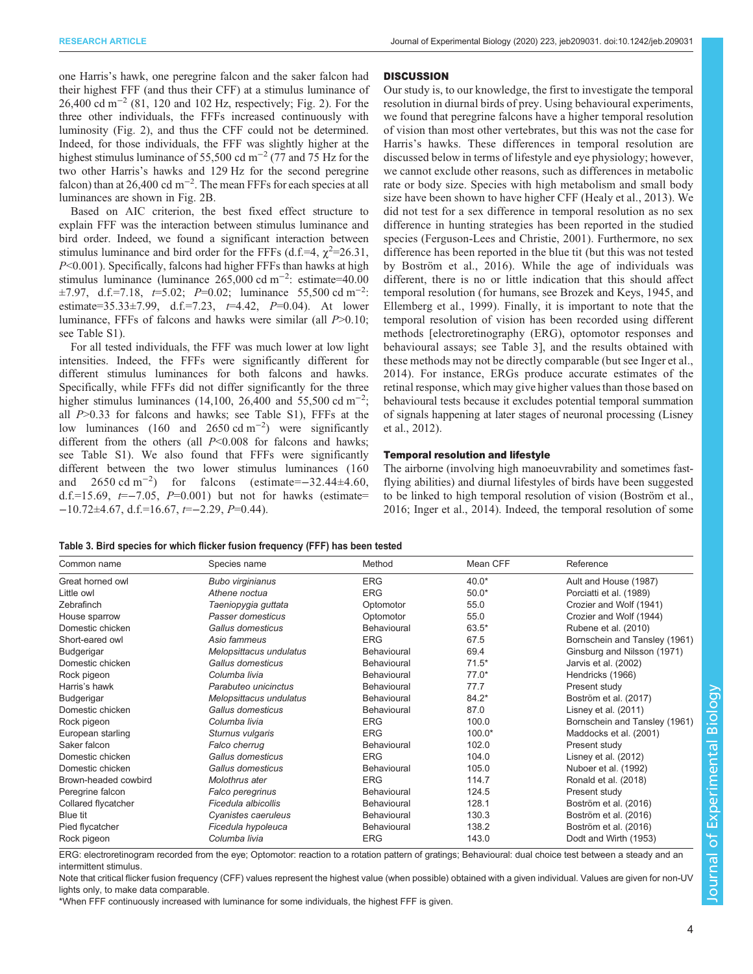<span id="page-3-0"></span>one Harris's hawk, one peregrine falcon and the saker falcon had their highest FFF (and thus their CFF) at a stimulus luminance of 26,400 cd m<sup>-2</sup> (81, 120 and 102 Hz, respectively; [Fig. 2](#page-2-0)). For the three other individuals, the FFFs increased continuously with luminosity [\(Fig. 2\)](#page-2-0), and thus the CFF could not be determined. Indeed, for those individuals, the FFF was slightly higher at the highest stimulus luminance of 55,500 cd m−<sup>2</sup> (77 and 75 Hz for the two other Harris's hawks and 129 Hz for the second peregrine falcon) than at 26,400 cd m<sup>-2</sup>. The mean FFFs for each species at all luminances are shown in [Fig. 2](#page-2-0)B.

Based on AIC criterion, the best fixed effect structure to explain FFF was the interaction between stimulus luminance and bird order. Indeed, we found a significant interaction between stimulus luminance and bird order for the FFFs (d.f.=4,  $\chi^2$ =26.31, P<0.001). Specifically, falcons had higher FFFs than hawks at high stimulus luminance (luminance 265,000 cd m−<sup>2</sup> : estimate=40.00  $\pm 7.97$ , d.f.=7.18,  $t=5.02$ ;  $P=0.02$ ; luminance 55,500 cd m<sup>-2</sup>: estimate=35.33±7.99, d.f.=7.23,  $t=4.42$ ,  $P=0.04$ ). At lower luminance, FFFs of falcons and hawks were similar (all P>0.10; see [Table S1\)](http://jeb.biologists.org/lookup/doi/10.1242/jeb.209031.supplemental).

For all tested individuals, the FFF was much lower at low light intensities. Indeed, the FFFs were significantly different for different stimulus luminances for both falcons and hawks. Specifically, while FFFs did not differ significantly for the three higher stimulus luminances (14,100, 26,400 and 55,500 cd m<sup>-2</sup>; all  $P > 0.33$  for falcons and hawks; see [Table S1](http://jeb.biologists.org/lookup/doi/10.1242/jeb.209031.supplemental)), FFFs at the low luminances (160 and 2650 cd m<sup>-2</sup>) were significantly different from the others (all  $P<0.008$  for falcons and hawks; see [Table S1](http://jeb.biologists.org/lookup/doi/10.1242/jeb.209031.supplemental)). We also found that FFFs were significantly different between the two lower stimulus luminances (160 and  $2650 \text{ cd m}^{-2}$ ) for falcons (estimate= $-32.44\pm4.60$ , d.f.=15.69,  $t=-7.05$ ,  $P=0.001$ ) but not for hawks (estimate=  $-10.72\pm4.67$ , d.f.=16.67, t= $-2.29$ , P=0.44).

# **DISCUSSION**

Our study is, to our knowledge, the first to investigate the temporal resolution in diurnal birds of prey. Using behavioural experiments, we found that peregrine falcons have a higher temporal resolution of vision than most other vertebrates, but this was not the case for Harris's hawks. These differences in temporal resolution are discussed below in terms of lifestyle and eye physiology; however, we cannot exclude other reasons, such as differences in metabolic rate or body size. Species with high metabolism and small body size have been shown to have higher CFF ([Healy et al., 2013](#page-5-0)). We did not test for a sex difference in temporal resolution as no sex difference in hunting strategies has been reported in the studied species ([Ferguson-Lees and Christie, 2001](#page-5-0)). Furthermore, no sex difference has been reported in the blue tit (but this was not tested by [Boström et al., 2016](#page-5-0)). While the age of individuals was different, there is no or little indication that this should affect temporal resolution ( for humans, see [Brozek and Keys, 1945,](#page-5-0) and [Ellemberg et al., 1999\)](#page-5-0). Finally, it is important to note that the temporal resolution of vision has been recorded using different methods [electroretinography (ERG), optomotor responses and behavioural assays; see Table 3], and the results obtained with these methods may not be directly comparable (but see [Inger et al.,](#page-5-0) [2014\).](#page-5-0) For instance, ERGs produce accurate estimates of the retinal response, which may give higher values than those based on behavioural tests because it excludes potential temporal summation of signals happening at later stages of neuronal processing ([Lisney](#page-6-0) [et al., 2012](#page-6-0)).

# Temporal resolution and lifestyle

The airborne (involving high manoeuvrability and sometimes fastflying abilities) and diurnal lifestyles of birds have been suggested to be linked to high temporal resolution of vision [\(Boström et al.,](#page-5-0) [2016; Inger et al., 2014\)](#page-5-0). Indeed, the temporal resolution of some

|  |  | Table 3. Bird species for which flicker fusion frequency (FFF) has been tested |
|--|--|--------------------------------------------------------------------------------|
|--|--|--------------------------------------------------------------------------------|

| Common name          | Species name            | Method      | Mean CFF | Reference                     |
|----------------------|-------------------------|-------------|----------|-------------------------------|
| Great horned owl     | Bubo virginianus        | <b>ERG</b>  | $40.0*$  | Ault and House (1987)         |
| Little owl           | Athene noctua           | <b>ERG</b>  | $50.0*$  | Porciatti et al. (1989)       |
| Zebrafinch           | Taeniopygia guttata     | Optomotor   | 55.0     | Crozier and Wolf (1941)       |
| House sparrow        | Passer domesticus       | Optomotor   | 55.0     | Crozier and Wolf (1944)       |
| Domestic chicken     | Gallus domesticus       | Behavioural | 63.5*    | Rubene et al. (2010)          |
| Short-eared owl      | Asio fammeus            | <b>ERG</b>  | 67.5     | Bornschein and Tansley (1961) |
| Budgerigar           | Melopsittacus undulatus | Behavioural | 69.4     | Ginsburg and Nilsson (1971)   |
| Domestic chicken     | Gallus domesticus       | Behavioural | $71.5*$  | Jarvis et al. (2002)          |
| Rock pigeon          | Columba livia           | Behavioural | $77.0*$  | Hendricks (1966)              |
| Harris's hawk        | Parabuteo unicinctus    | Behavioural | 77.7     | Present study                 |
| Budgerigar           | Melopsittacus undulatus | Behavioural | $84.2*$  | Boström et al. (2017)         |
| Domestic chicken     | Gallus domesticus       | Behavioural | 87.0     | Lisney et al. (2011)          |
| Rock pigeon          | Columba livia           | <b>ERG</b>  | 100.0    | Bornschein and Tansley (1961) |
| European starling    | Sturnus vulgaris        | <b>ERG</b>  | $100.0*$ | Maddocks et al. (2001)        |
| Saker falcon         | Falco cherrug           | Behavioural | 102.0    | Present study                 |
| Domestic chicken     | Gallus domesticus       | <b>ERG</b>  | 104.0    | Lisney et al. (2012)          |
| Domestic chicken     | Gallus domesticus       | Behavioural | 105.0    | Nuboer et al. (1992)          |
| Brown-headed cowbird | Molothrus ater          | <b>ERG</b>  | 114.7    | Ronald et al. (2018)          |
| Peregrine falcon     | Falco peregrinus        | Behavioural | 124.5    | Present study                 |
| Collared flycatcher  | Ficedula albicollis     | Behavioural | 128.1    | Boström et al. (2016)         |
| Blue tit             | Cyanistes caeruleus     | Behavioural | 130.3    | Boström et al. (2016)         |
| Pied flycatcher      | Ficedula hypoleuca      | Behavioural | 138.2    | Boström et al. (2016)         |
| Rock pigeon          | Columba livia           | <b>ERG</b>  | 143.0    | Dodt and Wirth (1953)         |

ERG: electroretinogram recorded from the eye; Optomotor: reaction to a rotation pattern of gratings; Behavioural: dual choice test between a steady and an intermittent stimulus.

Note that critical flicker fusion frequency (CFF) values represent the highest value (when possible) obtained with a given individual. Values are given for non-UV lights only, to make data comparable.

\*When FFF continuously increased with luminance for some individuals, the highest FFF is given.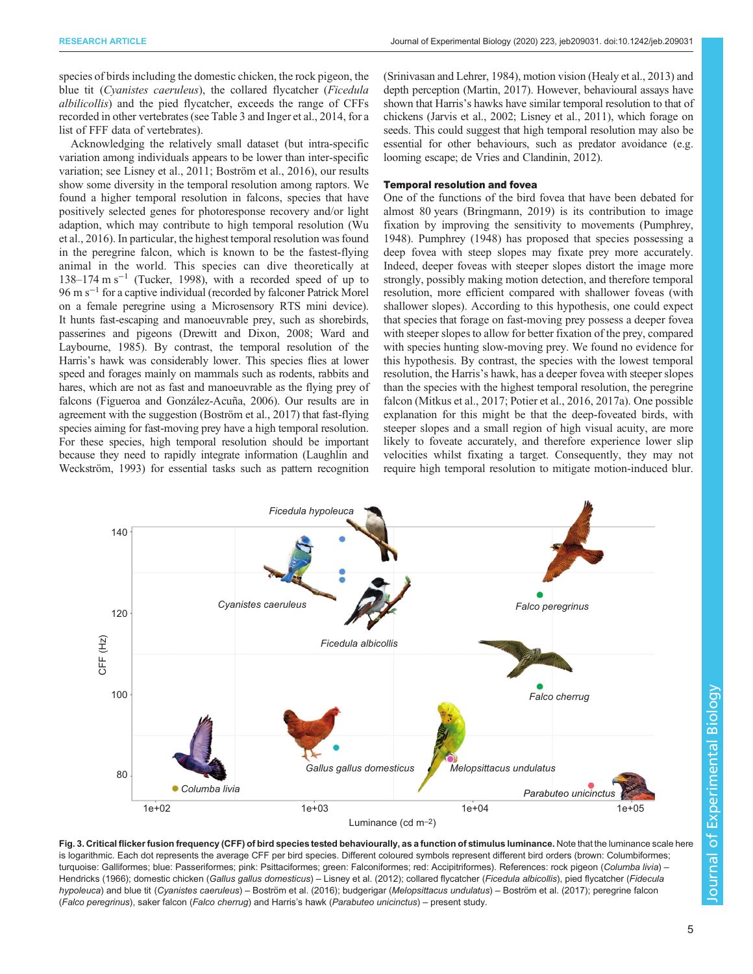<span id="page-4-0"></span>species of birds including the domestic chicken, the rock pigeon, the blue tit (Cyanistes caeruleus), the collared flycatcher (Ficedula albilicollis) and the pied flycatcher, exceeds the range of CFFs recorded in other vertebrates (see [Table 3](#page-3-0) and [Inger et al., 2014,](#page-5-0) for a list of FFF data of vertebrates).

Acknowledging the relatively small dataset (but intra-specific variation among individuals appears to be lower than inter-specific variation; see [Lisney et al., 2011;](#page-6-0) [Boström et al., 2016\),](#page-5-0) our results show some diversity in the temporal resolution among raptors. We found a higher temporal resolution in falcons, species that have positively selected genes for photoresponse recovery and/or light adaption, which may contribute to high temporal resolution [\(Wu](#page-6-0) [et al., 2016\)](#page-6-0). In particular, the highest temporal resolution was found in the peregrine falcon, which is known to be the fastest-flying animal in the world. This species can dive theoretically at 138–174 m s−<sup>1</sup> [\(Tucker, 1998\)](#page-6-0), with a recorded speed of up to 96 m s−<sup>1</sup> for a captive individual (recorded by falconer Patrick Morel on a female peregrine using a Microsensory RTS mini device). It hunts fast-escaping and manoeuvrable prey, such as shorebirds, passerines and pigeons ([Drewitt and Dixon, 2008;](#page-5-0) [Ward and](#page-6-0) [Laybourne, 1985](#page-6-0)). By contrast, the temporal resolution of the Harris's hawk was considerably lower. This species flies at lower speed and forages mainly on mammals such as rodents, rabbits and hares, which are not as fast and manoeuvrable as the flying prey of falcons ([Figueroa and González-Acuña, 2006](#page-5-0)). Our results are in agreement with the suggestion ([Boström et al., 2017\)](#page-5-0) that fast-flying species aiming for fast-moving prey have a high temporal resolution. For these species, high temporal resolution should be important because they need to rapidly integrate information [\(Laughlin and](#page-5-0) [Weckström, 1993](#page-5-0)) for essential tasks such as pattern recognition

[\(Srinivasan and Lehrer, 1984](#page-6-0)), motion vision [\(Healy et al., 2013](#page-5-0)) and depth perception ([Martin, 2017](#page-6-0)). However, behavioural assays have shown that Harris's hawks have similar temporal resolution to that of chickens [\(Jarvis et al., 2002](#page-5-0); [Lisney et al., 2011\)](#page-6-0), which forage on seeds. This could suggest that high temporal resolution may also be essential for other behaviours, such as predator avoidance (e.g. looming escape; [de Vries and Clandinin, 2012\)](#page-5-0).

## Temporal resolution and fovea

One of the functions of the bird fovea that have been debated for almost 80 years ([Bringmann, 2019](#page-5-0)) is its contribution to image fixation by improving the sensitivity to movements [\(Pumphrey,](#page-6-0) [1948\)](#page-6-0). [Pumphrey \(1948\)](#page-6-0) has proposed that species possessing a deep fovea with steep slopes may fixate prey more accurately. Indeed, deeper foveas with steeper slopes distort the image more strongly, possibly making motion detection, and therefore temporal resolution, more efficient compared with shallower foveas (with shallower slopes). According to this hypothesis, one could expect that species that forage on fast-moving prey possess a deeper fovea with steeper slopes to allow for better fixation of the prey, compared with species hunting slow-moving prey. We found no evidence for this hypothesis. By contrast, the species with the lowest temporal resolution, the Harris's hawk, has a deeper fovea with steeper slopes than the species with the highest temporal resolution, the peregrine falcon ([Mitkus et al., 2017; Potier et al., 2016](#page-6-0), [2017a\)](#page-6-0). One possible explanation for this might be that the deep-foveated birds, with steeper slopes and a small region of high visual acuity, are more likely to foveate accurately, and therefore experience lower slip velocities whilst fixating a target. Consequently, they may not require high temporal resolution to mitigate motion-induced blur.



Fig. 3. Critical flicker fusion frequency (CFF) of bird species tested behaviourally, as a function of stimulus luminance. Note that the luminance scale here is logarithmic. Each dot represents the average CFF per bird species. Different coloured symbols represent different bird orders (brown: Columbiformes; turquoise: Galliformes; blue: Passeriformes; pink: Psittaciformes; green: Falconiformes; red: Accipitriformes). References: rock pigeon (Columba livia) -[Hendricks \(1966\);](#page-5-0) domestic chicken (Gallus gallus domesticus) - [Lisney et al. \(2012\)](#page-6-0); collared flycatcher (Ficedula albicollis), pied flycatcher (Fidecula hypoleuca) and blue tit (Cyanistes caeruleus) – Boströ[m et al. \(2016\);](#page-5-0) budgerigar (Melopsittacus undulatus) – Boströ[m et al. \(2017\)](#page-5-0); peregrine falcon (Falco peregrinus), saker falcon (Falco cherrug) and Harris's hawk (Parabuteo unicinctus) – present study.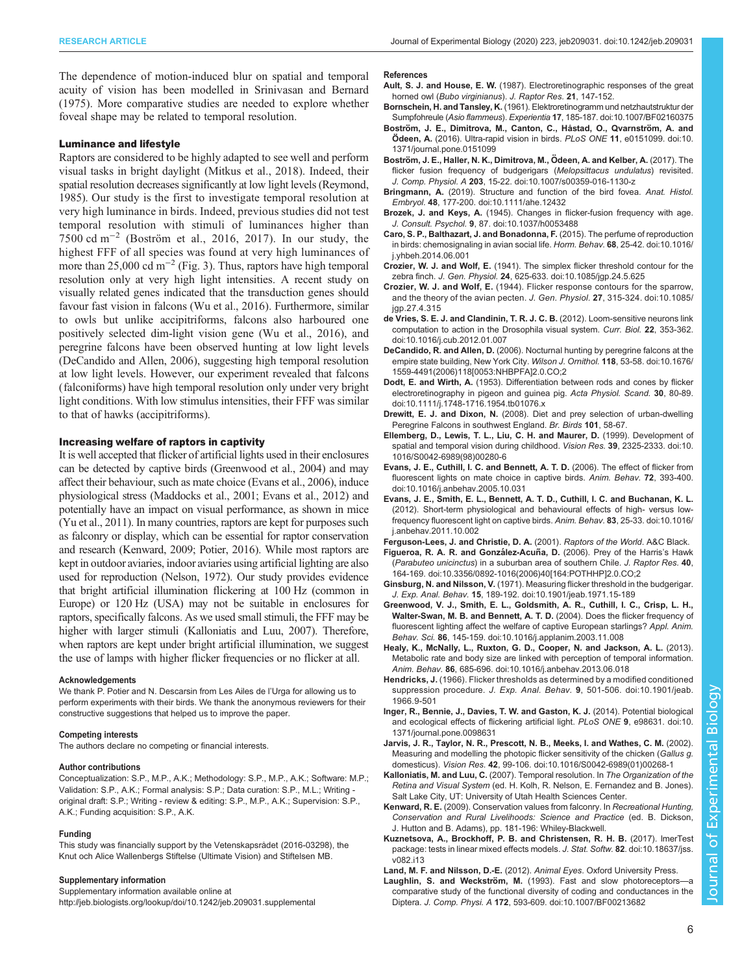<span id="page-5-0"></span>The dependence of motion-induced blur on spatial and temporal acuity of vision has been modelled in [Srinivasan and Bernard](#page-6-0) [\(1975\)](#page-6-0). More comparative studies are needed to explore whether foveal shape may be related to temporal resolution.

# Luminance and lifestyle

Raptors are considered to be highly adapted to see well and perform visual tasks in bright daylight [\(Mitkus et al., 2018\)](#page-6-0). Indeed, their spatial resolution decreases significantly at low light levels [\(Reymond,](#page-6-0) [1985](#page-6-0)). Our study is the first to investigate temporal resolution at very high luminance in birds. Indeed, previous studies did not test temporal resolution with stimuli of luminances higher than 7500 cd m−<sup>2</sup> (Boström et al., 2016, 2017). In our study, the highest FFF of all species was found at very high luminances of more than 25,000 cd m<sup>-2</sup> [\(Fig. 3\)](#page-4-0). Thus, raptors have high temporal resolution only at very high light intensities. A recent study on visually related genes indicated that the transduction genes should favour fast vision in falcons ([Wu et al., 2016](#page-6-0)). Furthermore, similar to owls but unlike accipitriforms, falcons also harboured one positively selected dim-light vision gene ([Wu et al., 2016\)](#page-6-0), and peregrine falcons have been observed hunting at low light levels (DeCandido and Allen, 2006), suggesting high temporal resolution at low light levels. However, our experiment revealed that falcons (falconiforms) have high temporal resolution only under very bright light conditions. With low stimulus intensities, their FFF was similar to that of hawks (accipitriforms).

# Increasing welfare of raptors in captivity

It is well accepted that flicker of artificial lights used in their enclosures can be detected by captive birds (Greenwood et al., 2004) and may affect their behaviour, such as mate choice (Evans et al., 2006), induce physiological stress [\(Maddocks et al., 2001](#page-6-0); Evans et al., 2012) and potentially have an impact on visual performance, as shown in mice [\(Yu et al., 2011\)](#page-6-0). In many countries, raptors are kept for purposes such as falconry or display, which can be essential for raptor conservation and research (Kenward, 2009; [Potier, 2016](#page-6-0)). While most raptors are kept in outdoor aviaries, indoor aviaries using artificial lighting are also used for reproduction [\(Nelson, 1972](#page-6-0)). Our study provides evidence that bright artificial illumination flickering at 100 Hz (common in Europe) or 120 Hz (USA) may not be suitable in enclosures for raptors, specifically falcons. As we used small stimuli, the FFF may be higher with larger stimuli (Kalloniatis and Luu, 2007). Therefore, when raptors are kept under bright artificial illumination, we suggest the use of lamps with higher flicker frequencies or no flicker at all.

## Acknowledgements

We thank P. Potier and N. Descarsin from Les Ailes de l'Urga for allowing us to perform experiments with their birds. We thank the anonymous reviewers for their constructive suggestions that helped us to improve the paper.

#### Competing interests

The authors declare no competing or financial interests.

## Author contributions

Conceptualization: S.P., M.P., A.K.; Methodology: S.P., M.P., A.K.; Software: M.P.; Validation: S.P., A.K.; Formal analysis: S.P.; Data curation: S.P., M.L.; Writing original draft: S.P.; Writing - review & editing: S.P., M.P., A.K.; Supervision: S.P., A.K.; Funding acquisition: S.P., A.K.

#### Funding

This study was financially support by the Vetenskapsrådet (2016-03298), the Knut och Alice Wallenbergs Stiftelse (Ultimate Vision) and Stiftelsen MB.

### Supplementary information

Supplementary information available online at <http://jeb.biologists.org/lookup/doi/10.1242/jeb.209031.supplemental>

#### References

- Ault. S. J. and House, E. W. (1987). Electroretinographic responses of the great horned owl (Bubo virginianus). J. Raptor Res. 21, 147-152.
- Bornschein, H. and Tansley, K. [\(1961\). Elektroretinogramm und netzhautstruktur der](https://doi.org/10.1007/BF02160375) Sumpfohreule (Asio flammeus). Experientia 17[, 185-187. doi:10.1007/BF02160375](https://doi.org/10.1007/BF02160375)
- Boström, J. E., Dimitrova, M., Canton, C., Håstad, O., Qvarnström, A. and Ödeen, A. [\(2016\). Ultra-rapid vision in birds.](https://doi.org/10.1371/journal.pone.0151099) PLoS ONE 11, e0151099. doi:10. [1371/journal.pone.0151099](https://doi.org/10.1371/journal.pone.0151099)
- Boström, J. E., Haller, N. K., Dimitrova, M., Ödeen, A. and Kelber, A. (2017). The [flicker fusion frequency of budgerigars \(](https://doi.org/10.1007/s00359-016-1130-z)Melopsittacus undulatus) revisited. J. Comp. Physiol. A 203[, 15-22. doi:10.1007/s00359-016-1130-z](https://doi.org/10.1007/s00359-016-1130-z)
- Bringmann, A. [\(2019\). Structure and function of the bird fovea.](https://doi.org/10.1111/ahe.12432) Anat. Histol. Embryol. 48[, 177-200. doi:10.1111/ahe.12432](https://doi.org/10.1111/ahe.12432)
- Brozek, J. and Keys, A. [\(1945\). Changes in flicker-fusion frequency with age.](https://doi.org/10.1037/h0053488) J. Consult. Psychol. 9[, 87. doi:10.1037/h0053488](https://doi.org/10.1037/h0053488)
- [Caro, S. P., Balthazart, J. and Bonadonna, F.](https://doi.org/10.1016/j.yhbeh.2014.06.001) (2015). The perfume of reproduction [in birds: chemosignaling in avian social life.](https://doi.org/10.1016/j.yhbeh.2014.06.001) Horm. Behav. 68, 25-42. doi:10.1016/ [j.yhbeh.2014.06.001](https://doi.org/10.1016/j.yhbeh.2014.06.001)
- Crozier, W. J. and Wolf, E. [\(1941\). The simplex flicker threshold contour for the](https://doi.org/10.1085/jgp.24.5.625) zebra finch. J. Gen. Physiol. 24[, 625-633. doi:10.1085/jgp.24.5.625](https://doi.org/10.1085/jgp.24.5.625)
- Crozier, W. J. and Wolf, E. [\(1944\). Flicker response contours for the sparrow,](https://doi.org/10.1085/jgp.27.4.315) [and the theory of the avian pecten.](https://doi.org/10.1085/jgp.27.4.315) J. Gen. Physiol. 27, 315-324. doi:10.1085/ [jgp.27.4.315](https://doi.org/10.1085/jgp.27.4.315)
- [de Vries, S. E. J. and Clandinin, T. R. J. C. B.](https://doi.org/10.1016/j.cub.2012.01.007) (2012). Loom-sensitive neurons link [computation to action in the Drosophila visual system.](https://doi.org/10.1016/j.cub.2012.01.007) Curr. Biol. 22, 353-362. [doi:10.1016/j.cub.2012.01.007](https://doi.org/10.1016/j.cub.2012.01.007)
- DeCandido, R. and Allen, D. [\(2006\). Nocturnal hunting by peregrine falcons at the](https://doi.org/10.1676/1559-4491(2006)118[0053:NHBPFA]2.0.CO;2) [empire state building, New York City.](https://doi.org/10.1676/1559-4491(2006)118[0053:NHBPFA]2.0.CO;2) Wilson J. Ornithol. 118, 53-58. doi:10.1676/ [1559-4491\(2006\)118\[0053:NHBPFA\]2.0.CO;2](https://doi.org/10.1676/1559-4491(2006)118[0053:NHBPFA]2.0.CO;2)
- Dodt, E. and Wirth, A. [\(1953\). Differentiation between rods and cones by flicker](https://doi.org/10.1111/j.1748-1716.1954.tb01076.x) [electroretinography in pigeon and guinea pig.](https://doi.org/10.1111/j.1748-1716.1954.tb01076.x) Acta Physiol. Scand. 30, 80-89. [doi:10.1111/j.1748-1716.1954.tb01076.x](https://doi.org/10.1111/j.1748-1716.1954.tb01076.x)
- Drewitt, E. J. and Dixon, N. (2008). Diet and prey selection of urban-dwelling Peregrine Falcons in southwest England. Br. Birds 101, 58-67.
- [Ellemberg, D., Lewis, T. L., Liu, C. H. and Maurer, D.](https://doi.org/10.1016/S0042-6989(98)00280-6) (1999). Development of [spatial and temporal vision during childhood.](https://doi.org/10.1016/S0042-6989(98)00280-6) Vision Res. 39, 2325-2333. doi:10. [1016/S0042-6989\(98\)00280-6](https://doi.org/10.1016/S0042-6989(98)00280-6)
- [Evans, J. E., Cuthill, I. C. and Bennett, A. T. D.](https://doi.org/10.1016/j.anbehav.2005.10.031) (2006). The effect of flicker from [fluorescent lights on mate choice in captive birds.](https://doi.org/10.1016/j.anbehav.2005.10.031) Anim. Behav. 72, 393-400. [doi:10.1016/j.anbehav.2005.10.031](https://doi.org/10.1016/j.anbehav.2005.10.031)
- [Evans, J. E., Smith, E. L., Bennett, A. T. D., Cuthill, I. C. and Buchanan, K. L.](https://doi.org/10.1016/j.anbehav.2011.10.002) [\(2012\). Short-term physiological and behavioural effects of high- versus low](https://doi.org/10.1016/j.anbehav.2011.10.002)[frequency fluorescent light on captive birds.](https://doi.org/10.1016/j.anbehav.2011.10.002) Anim. Behav. 83, 25-33. doi:10.1016/ [j.anbehav.2011.10.002](https://doi.org/10.1016/j.anbehav.2011.10.002)

Ferguson-Lees, J. and Christie, D. A. (2001). Raptors of the World. A&C Black.

- Figueroa, R. A. R. and González-Acuña, D. (2006). Prey of the Harris's Hawk (Parabuteo unicinctus[\) in a suburban area of southern Chile.](https://doi.org/10.3356/0892-1016(2006)40[164:POTHHP]2.0.CO;2) J. Raptor Res. 40, [164-169. doi:10.3356/0892-1016\(2006\)40\[164:POTHHP\]2.0.CO;2](https://doi.org/10.3356/0892-1016(2006)40[164:POTHHP]2.0.CO;2)
- Ginsburg, N. and Nilsson, V. [\(1971\). Measuring flicker threshold in the budgerigar.](https://doi.org/10.1901/jeab.1971.15-189) J. Exp. Anal. Behav. 15[, 189-192. doi:10.1901/jeab.1971.15-189](https://doi.org/10.1901/jeab.1971.15-189)
- [Greenwood, V. J., Smith, E. L., Goldsmith, A. R., Cuthill, I. C., Crisp, L. H.,](https://doi.org/10.1016/j.applanim.2003.11.008) [Walter-Swan, M. B. and Bennett, A. T. D.](https://doi.org/10.1016/j.applanim.2003.11.008) (2004). Does the flicker frequency of [fluorescent lighting affect the welfare of captive European starlings?](https://doi.org/10.1016/j.applanim.2003.11.008) Appl. Anim. Behav. Sci. 86[, 145-159. doi:10.1016/j.applanim.2003.11.008](https://doi.org/10.1016/j.applanim.2003.11.008)
- [Healy, K., McNally, L., Ruxton, G. D., Cooper, N. and Jackson, A. L.](https://doi.org/10.1016/j.anbehav.2013.06.018) (2013). [Metabolic rate and body size are linked with perception of temporal information.](https://doi.org/10.1016/j.anbehav.2013.06.018) Anim. Behav. 86[, 685-696. doi:10.1016/j.anbehav.2013.06.018](https://doi.org/10.1016/j.anbehav.2013.06.018)
- Hendricks, J. [\(1966\). Flicker thresholds as determined by a modified conditioned](https://doi.org/10.1901/jeab.1966.9-501) suppression procedure. J. Exp. Anal. Behav. 9[, 501-506. doi:10.1901/jeab.](https://doi.org/10.1901/jeab.1966.9-501) [1966.9-501](https://doi.org/10.1901/jeab.1966.9-501)
- [Inger, R., Bennie, J., Davies, T. W. and Gaston, K. J.](https://doi.org/10.1371/journal.pone.0098631) (2014). Potential biological [and ecological effects of flickering artificial light.](https://doi.org/10.1371/journal.pone.0098631) PLoS ONE 9, e98631. doi:10. [1371/journal.pone.0098631](https://doi.org/10.1371/journal.pone.0098631)
- [Jarvis, J. R., Taylor, N. R., Prescott, N. B., Meeks, I. and Wathes, C. M.](https://doi.org/10.1016/S0042-6989(01)00268-1) (2002). [Measuring and modelling the photopic flicker sensitivity of the chicken \(](https://doi.org/10.1016/S0042-6989(01)00268-1)Gallus g. domesticus). Vision Res. 42[, 99-106. doi:10.1016/S0042-6989\(01\)00268-1](https://doi.org/10.1016/S0042-6989(01)00268-1)
- Kalloniatis, M. and Luu, C. (2007). Temporal resolution. In The Organization of the Retina and Visual System (ed. H. Kolh, R. Nelson, E. Fernandez and B. Jones). Salt Lake City, UT: University of Utah Health Sciences Center.
- Kenward, R. E. (2009). Conservation values from falconry. In Recreational Hunting, Conservation and Rural Livelihoods: Science and Practice (ed. B. Dickson, J. Hutton and B. Adams), pp. 181-196: Whiley-Blackwell.
- [Kuznetsova, A., Brockhoff, P. B. and Christensen, R. H. B.](https://doi.org/10.18637/jss.v082.i13) (2017). lmerTest [package: tests in linear mixed effects models.](https://doi.org/10.18637/jss.v082.i13) J. Stat. Softw. 82. doi:10.18637/jss. [v082.i13](https://doi.org/10.18637/jss.v082.i13)

Land, M. F. and Nilsson, D.-E. (2012). Animal Eyes. Oxford University Press.

Laughlin, S. and Weckström, M. [\(1993\). Fast and slow photoreceptors](https://doi.org/10.1007/BF00213682)[comparative study of the functional diversity of coding and conductances in the](https://doi.org/10.1007/BF00213682) Diptera. J. Comp. Physi. A 172[, 593-609. doi:10.1007/BF00213682](https://doi.org/10.1007/BF00213682)